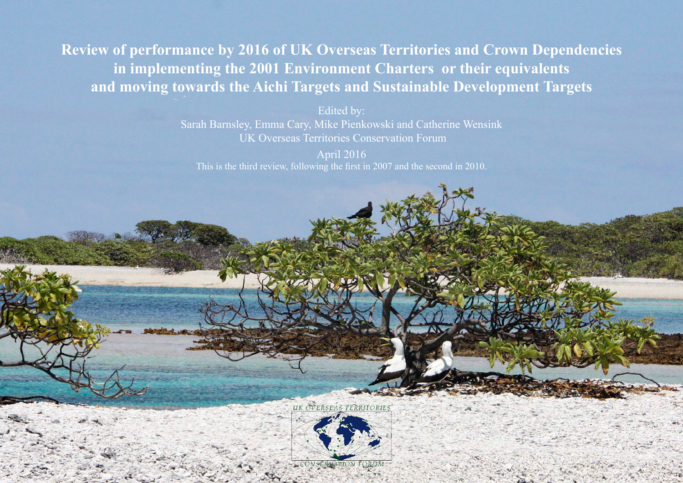**Review of performance by 2016 of UK Overseas Territories and Crown Dependencies in implementing the 2001 Environment Charters or their equivalents and moving towards the Aichi Targets and Sustainable Development Targets**

> Edited by: Sarah Barnsley, Emma Cary, Mike Pienkowski and Catherine Wensink UK Overseas Territories Conservation Forum

April 2016 This is the third review, following the first in 2007 and the second in 2010.

UK OVERSEAS TERRITORIES



CONGERED TO THE STATE OF THE TABLE CONGERMATION FORUM OF THE STATE OF THE STATE OF THE STATE OF THE STATE OF THE STATE OF THE STATE OF THE STATE OF THE STATE OF THE STATE OF THE STATE OF THE STATE OF THE STATE OF THE STATE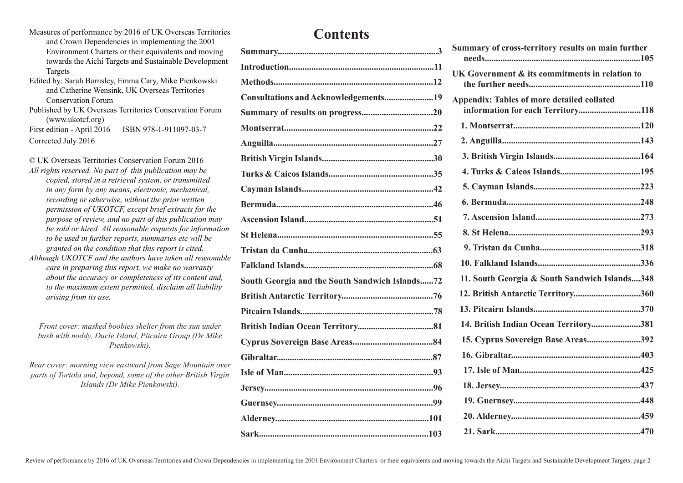- Measures of performance by 2016 of UK Overseas Territories and Crown Dependencies in implementing the 2001 Environment Charters or their equivalents and moving towards the Aichi Targets and Sustainable Development Targets
- Edited by: Sarah Barnsley, Emma Cary, Mike Pienkowski and Catherine Wensink, UK Overseas Territories Conservation Forum
- Published by UK Overseas Territories Conservation Forum (www.ukotcf.org) First edition - April 2016 ISBN 978-1-911097-03-7

Corrected July 2016

© UK Overseas Territories Conservation Forum 2016 *All rights reserved. No part of this publication may be copied, stored in a retrieval system, or transmitted in any form by any means, electronic, mechanical, recording or otherwise, without the prior written permission of UKOTCF, except brief extracts for the purpose of review, and no part of this publication may be sold or hired. All reasonable requests for information to be used in further reports, summaries etc will be granted on the condition that this report is cited.* 

*Although UKOTCF and the authors have taken all reasonable care in preparing this report, we make no warranty about the accuracy or completeness of its content and, to the maximum extent permitted, disclaim all liability arising from its use.* 

*Front cover: masked boobies shelter from the sun under bush with noddy, Ducie Island, Pitcairn Group (Dr Mike Pienkowski).*

*Rear cover: morning view eastward from Sage Mountain over parts of Tortola and, beyond, some of the other British Virgin Islands (Dr Mike Pienkowski).* 

## **Contents**

| Consultations and Acknowledgements19           |  |
|------------------------------------------------|--|
|                                                |  |
|                                                |  |
|                                                |  |
|                                                |  |
|                                                |  |
|                                                |  |
|                                                |  |
|                                                |  |
|                                                |  |
|                                                |  |
|                                                |  |
| South Georgia and the South Sandwich Islands72 |  |
|                                                |  |
|                                                |  |
|                                                |  |
|                                                |  |
|                                                |  |
|                                                |  |
|                                                |  |
|                                                |  |
|                                                |  |
|                                                |  |

| Summary of cross-territory results on main further                                     |
|----------------------------------------------------------------------------------------|
| UK Government & its commitments in relation to                                         |
| <b>Appendix: Tables of more detailed collated</b><br>information for each Territory118 |
|                                                                                        |
|                                                                                        |
|                                                                                        |
|                                                                                        |
|                                                                                        |
|                                                                                        |
|                                                                                        |
|                                                                                        |
|                                                                                        |
|                                                                                        |
| 11. South Georgia & South Sandwich Islands348                                          |
| 12. British Antarctic Territory360                                                     |
|                                                                                        |
|                                                                                        |
| 14. British Indian Ocean Territory381                                                  |
| 15. Cyprus Sovereign Base Areas392                                                     |
|                                                                                        |
|                                                                                        |
|                                                                                        |
|                                                                                        |
|                                                                                        |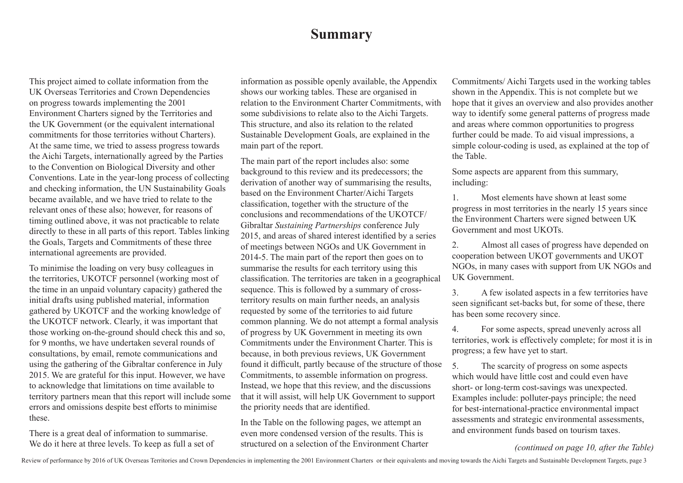## **Summary**

This project aimed to collate information from the UK Overseas Territories and Crown Dependencies on progress towards implementing the 2001 Environment Charters signed by the Territories and the UK Government (or the equivalent international commitments for those territories without Charters). At the same time, we tried to assess progress towards the Aichi Targets, internationally agreed by the Parties to the Convention on Biological Diversity and other Conventions. Late in the year-long process of collecting and checking information, the UN Sustainability Goals became available, and we have tried to relate to the relevant ones of these also; however, for reasons of timing outlined above, it was not practicable to relate directly to these in all parts of this report. Tables linking the Goals, Targets and Commitments of these three international agreements are provided.

To minimise the loading on very busy colleagues in the territories, UKOTCF personnel (working most of the time in an unpaid voluntary capacity) gathered the initial drafts using published material, information gathered by UKOTCF and the working knowledge of the UKOTCF network. Clearly, it was important that those working on-the-ground should check this and so, for 9 months, we have undertaken several rounds of consultations, by email, remote communications and using the gathering of the Gibraltar conference in July 2015. We are grateful for this input. However, we have to acknowledge that limitations on time available to territory partners mean that this report will include some errors and omissions despite best efforts to minimise these.

There is a great deal of information to summarise. We do it here at three levels. To keep as full a set of information as possible openly available, the Appendix shows our working tables. These are organised in relation to the Environment Charter Commitments, with some subdivisions to relate also to the Aichi Targets. This structure, and also its relation to the related Sustainable Development Goals, are explained in the main part of the report.

The main part of the report includes also: some background to this review and its predecessors; the derivation of another way of summarising the results, based on the Environment Charter/Aichi Targets classification, together with the structure of the conclusions and recommendations of the UKOTCF/ Gibraltar *Sustaining Partnerships* conference July 2015, and areas of shared interest identified by a series of meetings between NGOs and UK Government in 2014-5. The main part of the report then goes on to summarise the results for each territory using this classification. The territories are taken in a geographical sequence. This is followed by a summary of crossterritory results on main further needs, an analysis requested by some of the territories to aid future common planning. We do not attempt a formal analysis of progress by UK Government in meeting its own Commitments under the Environment Charter. This is because, in both previous reviews, UK Government found it difficult, partly because of the structure of those Commitments, to assemble information on progress. Instead, we hope that this review, and the discussions that it will assist, will help UK Government to support the priority needs that are identified.

In the Table on the following pages, we attempt an even more condensed version of the results. This is structured on a selection of the Environment Charter Commitments/ Aichi Targets used in the working tables shown in the Appendix. This is not complete but we hope that it gives an overview and also provides another way to identify some general patterns of progress made and areas where common opportunities to progress further could be made. To aid visual impressions, a simple colour-coding is used, as explained at the top of the Table.

Some aspects are apparent from this summary, including:

1. Most elements have shown at least some progress in most territories in the nearly 15 years since the Environment Charters were signed between UK Government and most UKOTs.

2. Almost all cases of progress have depended on cooperation between UKOT governments and UKOT NGOs, in many cases with support from UK NGOs and UK Government.

3. A few isolated aspects in a few territories have seen significant set-backs but, for some of these, there has been some recovery since.

4. For some aspects, spread unevenly across all territories, work is effectively complete; for most it is in progress; a few have yet to start.

5. The scarcity of progress on some aspects which would have little cost and could even have short- or long-term cost-savings was unexpected. Examples include: polluter-pays principle; the need for best-international-practice environmental impact assessments and strategic environmental assessments, and environment funds based on tourism taxes.

## *(continued on page 10, after the Table)*

Review of performance by 2016 of UK Overseas Territories and Crown Dependencies in implementing the 2001 Environment Charters or their equivalents and moving towards the Aichi Targets and Sustainable Development Targets, p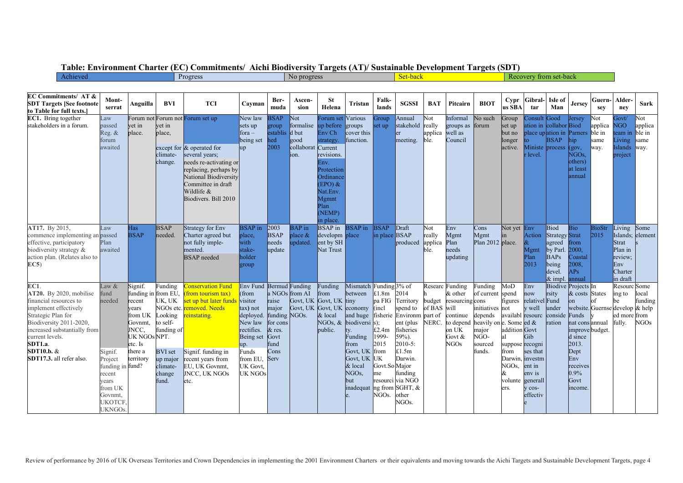|  | Table: Environment Charter (EC) Commitments/ Aichi Biodiversity Targets (AT)/ Sustainable Development Targets (SDT) |  |  |  |  |  |  |
|--|---------------------------------------------------------------------------------------------------------------------|--|--|--|--|--|--|
|--|---------------------------------------------------------------------------------------------------------------------|--|--|--|--|--|--|

| Achieved                                                                                                                                                                                                                                                   |                                                                                                                                         |                                                                                                                                     |                                                                                                                     | Progress                                                                                                                                                                                                                  |                                                                                                                                                                     |                                                                                         | Set-back<br>Recovery from set-back<br>No progress |                                                                                                                                                                            |                                                                                                                                                                                                                                                           |                                                                                       |                                                                                                                                                              |                                  |                                                                                             |                                                                                                                                        |                                                                                                                                          |                                                                                                                    |                                                                                                           |                                                                                                                                                                             |                                |                                                                                                  |                                 |
|------------------------------------------------------------------------------------------------------------------------------------------------------------------------------------------------------------------------------------------------------------|-----------------------------------------------------------------------------------------------------------------------------------------|-------------------------------------------------------------------------------------------------------------------------------------|---------------------------------------------------------------------------------------------------------------------|---------------------------------------------------------------------------------------------------------------------------------------------------------------------------------------------------------------------------|---------------------------------------------------------------------------------------------------------------------------------------------------------------------|-----------------------------------------------------------------------------------------|---------------------------------------------------|----------------------------------------------------------------------------------------------------------------------------------------------------------------------------|-----------------------------------------------------------------------------------------------------------------------------------------------------------------------------------------------------------------------------------------------------------|---------------------------------------------------------------------------------------|--------------------------------------------------------------------------------------------------------------------------------------------------------------|----------------------------------|---------------------------------------------------------------------------------------------|----------------------------------------------------------------------------------------------------------------------------------------|------------------------------------------------------------------------------------------------------------------------------------------|--------------------------------------------------------------------------------------------------------------------|-----------------------------------------------------------------------------------------------------------|-----------------------------------------------------------------------------------------------------------------------------------------------------------------------------|--------------------------------|--------------------------------------------------------------------------------------------------|---------------------------------|
|                                                                                                                                                                                                                                                            |                                                                                                                                         |                                                                                                                                     |                                                                                                                     |                                                                                                                                                                                                                           |                                                                                                                                                                     |                                                                                         |                                                   |                                                                                                                                                                            |                                                                                                                                                                                                                                                           |                                                                                       |                                                                                                                                                              |                                  |                                                                                             |                                                                                                                                        |                                                                                                                                          |                                                                                                                    |                                                                                                           |                                                                                                                                                                             |                                |                                                                                                  |                                 |
| EC Commitments/ AT &<br><b>SDT Targets [See footnote</b><br>to Table for full texts.]                                                                                                                                                                      | Mont-<br>serrat                                                                                                                         | Anguilla                                                                                                                            | <b>BVI</b>                                                                                                          | <b>TCI</b>                                                                                                                                                                                                                | Cavman                                                                                                                                                              | Ber-<br>muda                                                                            | Ascen-<br>sion                                    | <b>St</b><br>Helena                                                                                                                                                        | Tristan                                                                                                                                                                                                                                                   | Falk-<br>lands                                                                        | <b>SGSSI</b>                                                                                                                                                 | <b>BAT</b>                       | Pitcairn                                                                                    | <b>BIOT</b>                                                                                                                            | Cypr<br>us SBA                                                                                                                           | Gibral-<br>tar                                                                                                     | Isle of<br>Man                                                                                            | <b>Jersey</b>                                                                                                                                                               | Guern-<br>sev                  | Alder-<br>nev                                                                                    | Sark                            |
| EC1. Bring together<br>stakeholders in a forum.                                                                                                                                                                                                            | Law<br>passed<br>Reg. &<br>forum<br>awaited                                                                                             | vet in<br>place.                                                                                                                    | vet in<br>place.<br>climate-<br>change.                                                                             | Forum not Forum not Forum set up<br>except for & operated for<br>several years;<br>needs re-activating or<br>replacing, perhaps by<br>National Biodiversity<br>Committee in draft<br>Wildlife $&$<br>Biodivers. Bill 2010 | New law<br>sets up<br>$for a -$<br>being set<br>up                                                                                                                  | <b>BSAP</b><br>group<br>establis d but<br>hed<br>2003                                   | Vot<br>formalise<br>good<br>collaborat<br>ion.    | Forum set<br>up before<br>Env Ch<br>strategy.<br>Current<br>revisions.<br>Env.<br>Protection<br>Ordinance<br>$(EPO)$ &<br>Nat.Env.<br>Mgmnt<br>Plan<br>(NEMP)<br>in place. | <b>Various</b><br>groups<br>cover this<br>function.                                                                                                                                                                                                       | Group<br>set up                                                                       | Annual<br>stakehold really<br><sub>l</sub> er<br>meeting.                                                                                                    | Not<br>applica<br>ble.           | Informal<br>groups as<br>well as<br>Council                                                 | No such<br>forum                                                                                                                       | Group<br>set up<br>but no<br>longer<br>active.                                                                                           | `onsult<br>ation in<br>Ministe process<br>level.                                                                   | Good<br>collabor Biod<br><b>BSAP</b>                                                                      | Jersey<br>place up ation in Parners ble in<br>hip<br>(gov,<br>NGO <sub>s</sub><br>others)<br>at least<br>annual                                                             | Not<br>applica<br>same<br>way. | Govt/<br><b>NGO</b><br>team in ble in<br>Living<br>Islands way.<br>project                       | Not<br>applica<br>same          |
| AT17. By 2015,<br>commence implementing an passed<br>effective, participatory<br>biodiversity strategy &<br>action plan. (Relates also to<br>EC5)                                                                                                          | Law<br>Plan<br>awaited                                                                                                                  | Has<br><b>BSAP</b>                                                                                                                  | <b>BSAP</b><br>needed.                                                                                              | Strategy for Env<br>Charter agreed but<br>not fully imple-<br>mented.<br><b>BSAP</b> needed                                                                                                                               | <b>BSAP</b> in<br>place,<br>with<br>stake-<br>holder<br>group                                                                                                       | 2003<br><b>BSAP</b><br>needs<br>update                                                  | <b>BAP</b> in<br>place $\&$<br>updated.           | <b>BSAP</b> in<br>developm place<br>ent by SH<br>Nat Trust                                                                                                                 | <b>BSAP</b> in                                                                                                                                                                                                                                            | <b>BSAP</b><br>in place BSAP                                                          | Draft<br>produced                                                                                                                                            | Not<br>really<br>applica<br>ble. | Env<br>Mgmt<br>Plan<br>needs<br>updating                                                    | Cons<br>Mgmt<br>Plan 2012 place.                                                                                                       | Not yet Env<br>1n                                                                                                                        | Action<br>Mgmt<br>Plan<br>2013                                                                                     | <b>Biod</b><br><b>Strategy Strat</b><br>agreed<br>by Parl.<br><b>BAPs</b><br>being<br>devel.<br>$&$ impl. | Bio<br>from<br>2000.<br>Coastal<br>2008.<br>APs<br>annual                                                                                                                   | <b>BioStr</b><br>2015          | Living<br>Islands;<br><b>Strat</b><br>Plan in<br>review:<br>Env<br>Charter<br>in draft           | Some<br>element                 |
| EC1.<br><b>AT20.</b> By 2020, mobilise<br>financial resources to<br>implement effectively<br>Strategic Plan for<br>Biodiversity 2011-2020,<br>increased substantially from<br>current levels.<br><b>SDT1.a</b> .<br>SDT10.b. &<br>SDT17.3. all refer also. | Law &<br>fund<br>needed<br>Signif.<br>Project<br>funding in fund?<br>recent<br>/ears<br>from UK<br>Govnmt.<br>UKOTCF.<br><b>UKNGOs.</b> | Signif.<br>funding in from EU.<br>recent<br>vears<br>from UK<br>Govnmt,<br>JNCC.<br>UK NGOs NPT.<br>etc. Is<br>there a<br>territory | Funding<br>UK, UK<br>Looking<br>to self-<br>funding of<br><b>BVI</b> set<br>up major<br>climate-<br>change<br>fund. | Conservation Fund<br>from tourism tax)<br>set up but later fund<br>NGOs etc. <b>removed. Needs</b><br>einstating.<br>Signif. funding in<br>recent years from<br>EU, UK Govnmt,<br><b>JNCC, UK NGOs</b><br>etc.            | Env Fund Bermud Funding<br>(from<br>visitor<br>tax) not<br>deployed.<br>New law<br>rectifies.<br>Being set<br>up.<br>Funds<br>from EU.<br><b>UK</b> Govt<br>UK NGOs | raise<br>major<br>funding NGOs.<br>for cons<br>$&$ res.<br>Govt<br>fund<br>Cons<br>Serv | a NGOs from AI<br>Govt, UK<br>Govt, UK            | Funding<br>from<br>Govt, UK tiny<br>& local<br>public.                                                                                                                     | Mismatch Funding 3% of<br>between<br>Govt, UK economy (incl.<br>and huge fisherie Environm part of<br>NGOs, & biodiversi s);<br>ty.<br>Funding<br>from<br>Govt. UK from<br>Govt, UK UK<br>& local<br>NGO <sub>s</sub><br>but<br>inadequat ng from SGHT, & | £1.8m<br>pa FIG<br>£2.4m<br>1999-<br>2015<br>Govt.So Major<br>me<br>NGO <sub>s.</sub> | 2014<br>Territory<br>spend to<br>ent (plus<br>fisheries<br>59%).<br>2010-5:<br>£1.5m<br>Darwin.<br>funding<br>resourci via NGO<br>other<br>NGO <sub>s.</sub> | budget<br>of BAS will<br>NERC.   | Researc Funding<br>& other<br>resourcing cons<br>continue<br>on UK<br>Govt &<br><b>NGOs</b> | Funding<br>of current spend<br>initiatives not<br>depends<br>to depend heavily on e. Some ed $&$<br>major<br>NGO-<br>sourced<br>funds. | MoD<br>figures<br>availabl resourc<br>addition Govt<br>al<br>suppose recogni<br>from<br>Darwin, investm<br>NGOs.<br>&<br>volunte<br>ers. | Env<br>now<br>relativel Fund<br>y well<br>Gib.<br>ses that<br>ent in<br>env is<br>generall<br>$V$ COS-<br>effectiv | rsity<br>under<br>conside<br>ration                                                                       | <b>Biodive Projects In</b><br>& costs States<br>on<br>Funds<br>nat cons annual<br>improve budget.<br>d since<br>2013.<br>Dept<br>Env<br>receives<br>0.9%<br>Govt<br>income. |                                | <b>Resourc</b> Some<br>ing to<br>be<br>website. Guernse develop & help<br>ed more from<br>fully. | local<br>funding<br><b>NGOs</b> |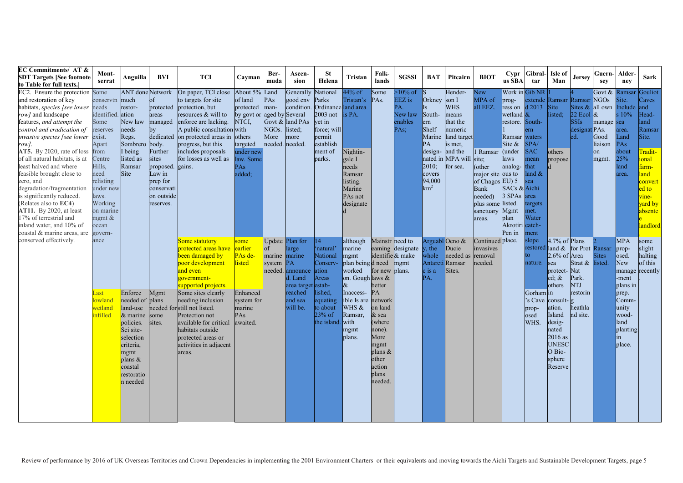| <b>EC Commitments/ AT &amp;</b><br><b>SDT Targets [See footnote</b><br>to Table for full texts.`                                                                                                                                                                                                                                                                                                                                                                                                                                        | Mont-<br>serrat                                                                                                                                                                            | Anguilla                                                                                                                                                            | BVI                                                                                                                                                | <b>TCI</b>                                                                                                                                                                                                                                                                                                                           | Cavman                                                                                                         | Ber-<br>muda                                                                    | Ascen-<br>sion                                                                             | <b>St</b><br>Helena                                                                                                          | Tristan                                                                                                                                                             | Falk-<br>lands                                                                                                                                                                    | <b>SGSSI</b>                                              | <b>BAT</b>                                                                                                         | Pitcairn                                                                                                                             | <b>BIOT</b>                                                                                                                                                                 | Cypr<br>us SBA                                                                                                                                                       | <b>Gibral</b><br>tar                                                                                                                                             | Isle of<br>Man                                                                                                                                                                                     | Jersey                                                                         | Guern-<br>sey                                                                                          | Alder-<br>nev                                                                                                                                       | <b>Sark</b>                                                                                                                                                     |
|-----------------------------------------------------------------------------------------------------------------------------------------------------------------------------------------------------------------------------------------------------------------------------------------------------------------------------------------------------------------------------------------------------------------------------------------------------------------------------------------------------------------------------------------|--------------------------------------------------------------------------------------------------------------------------------------------------------------------------------------------|---------------------------------------------------------------------------------------------------------------------------------------------------------------------|----------------------------------------------------------------------------------------------------------------------------------------------------|--------------------------------------------------------------------------------------------------------------------------------------------------------------------------------------------------------------------------------------------------------------------------------------------------------------------------------------|----------------------------------------------------------------------------------------------------------------|---------------------------------------------------------------------------------|--------------------------------------------------------------------------------------------|------------------------------------------------------------------------------------------------------------------------------|---------------------------------------------------------------------------------------------------------------------------------------------------------------------|-----------------------------------------------------------------------------------------------------------------------------------------------------------------------------------|-----------------------------------------------------------|--------------------------------------------------------------------------------------------------------------------|--------------------------------------------------------------------------------------------------------------------------------------|-----------------------------------------------------------------------------------------------------------------------------------------------------------------------------|----------------------------------------------------------------------------------------------------------------------------------------------------------------------|------------------------------------------------------------------------------------------------------------------------------------------------------------------|----------------------------------------------------------------------------------------------------------------------------------------------------------------------------------------------------|--------------------------------------------------------------------------------|--------------------------------------------------------------------------------------------------------|-----------------------------------------------------------------------------------------------------------------------------------------------------|-----------------------------------------------------------------------------------------------------------------------------------------------------------------|
| EC2. Ensure the protection Some<br>and restoration of key<br>habitats, <i>species</i> [see lower needs<br>row] and landscape<br>features, and attempt the<br>control and eradication of<br>invasive species [see lower<br>row].<br>AT5. By 2020, rate of loss<br>of all natural habitats, is at<br>least halved and where<br>feasible brought close to<br>zero, and<br>degradation/fragmentation<br>is significantly reduced.<br>(Relates also to EC4)<br>AT11. By 2020, at least<br>17% of terrestrial and<br>inland water, and 10% of | conservtn<br>identified. ation<br>Some<br>reserves<br>exist.<br>Apart<br>from<br>Centre<br>Hills,<br>need<br>relisting<br>under new<br>laws.<br>Working<br>on marine<br>mgmt $\&$<br>ocean | <b>ANT</b> done Network<br>much<br>restor-<br>New law<br>needs<br>Regs.<br>Sombrero<br>I being<br>listed as<br>Ramsar<br>Site                                       | of<br>protected<br>areas<br>managed<br>by<br>body.<br>Further<br>sites<br>proposed.<br>Law in<br>prep for<br>conservati<br>on outside<br>reserves. | On paper, TCI close<br>to targets for site<br>protection, but<br>resources & will to<br>enforce are lacking.<br>A public consultation with<br>dedicated on protected areas in others<br>progress, but this<br>includes proposals<br>for losses as well as<br>gains.                                                                  | About 5%<br>of land<br>protected<br>by govt or<br>NTCI,<br>targeted<br>under new<br>law. Some<br>PAs<br>added; | Land<br>PAs<br>man-<br>aged by Several<br>NGO <sub>s</sub> .<br>More<br>needed. | Generally<br>good env<br>condition.<br>Govt & land PAs<br>listed:<br>more<br>needed.       | National<br>Parks<br>Ordinance land area<br>2003 not<br>vet in<br>force; will<br>permit<br>establish<br>ment of<br>parks.    | 44% of<br>Tristan's<br>is PA.<br>Nightin-<br>gale I<br>needs<br>Ramsar<br>listing.<br>Marine<br>PAs not<br>designate                                                | Some<br>PAs.                                                                                                                                                                      | $>10\%$ of<br>EEZ is<br>PA.<br>New law<br>enables<br>PAs: | Orkney<br>South-<br>ern<br><b>Shelf</b><br>Marine<br>PA<br>design-<br>2010;<br>covers<br>94,000<br>km <sup>2</sup> | Hender-<br>son I<br><b>WHS</b><br>means<br>that the<br>numeric<br>land target<br>is met.<br>and the<br>nated in MPA will<br>for sea. | <b>New</b><br>MPA of<br>all EEZ.<br>Ramsar<br>site;<br>(other<br>major site ous to<br>of Chagos EU) 5<br><b>Bank</b><br>needed)<br>plus some listed.<br>sanctuary<br>areas. | prog-<br>ress on<br>wetland $\&$<br>restore.<br>Ramsar waters<br>Site $\&$<br>(under<br>laws<br>analog-<br>SACs & Aichi<br>3 SPAs<br>Mgmt<br>plan<br>Akrotiri catch- | Work in Gib NR<br>extende Ramsar<br>$d$ 2013<br>South-<br>$rm_{\rm{m}}$<br>SPA/<br><b>SAC</b><br>mean<br>that<br>land &<br>ea<br>area<br>argets<br>net.<br>Water | Site<br>listed;<br><sub>o</sub> thers<br>propose                                                                                                                                                   | Ramsar<br>22 Ecol $\&$<br><b>SSIs</b><br>designat PAs.<br>ed.                  | Govt &<br>NGO <sub>s</sub><br>Sites & all own Include<br>manage sea<br>Good<br>liaison<br>lon<br>mgmt. | Ramsar<br>Site.<br>$s\ 10\%$<br>area<br>Land<br>PAs<br>about<br>25%<br>land<br>area                                                                 | Gouliot<br>Caves<br>and<br>Head-<br>land<br>Ramsar<br>Site.<br>Fradit-<br>ional<br>farm-<br>land<br>convert<br>ed to<br>vine-<br>vard by<br>absente<br>landlord |
| coastal & marine areas, are<br>conserved effectively.                                                                                                                                                                                                                                                                                                                                                                                                                                                                                   | govern-<br>ance<br>Last<br>lowland<br>wetland<br>infilled                                                                                                                                  | Enforce<br>needed of plans<br>land-use<br>$&$ marine<br>policies.<br>Sci site-<br>selection<br>criteria,<br>mgmt<br>plans $\&$<br>coastal<br>restoratio<br>n needed | Mgmt<br>some<br>sites.                                                                                                                             | Some statutory<br>protected areas have<br>been damaged by<br>poor development<br>and even<br>government-<br>supported projects.<br>Some sites clearly<br>needing inclusion<br>needed for still not listed.<br>Protection not<br>available for critical<br>habitats outside<br>protected areas or<br>activities in adjacent<br>areas. | some<br>earlier<br>PAs de<br>isted<br>Enhanced<br>system for<br>marine<br>PA <sub>s</sub><br>awaited.          | Update Plan for<br>of<br>marine marine<br>system<br>needed.                     | large<br>PA<br>announce<br>d. Land<br>area target estab-<br>reached<br>and sea<br>will be. | 14<br>'natural'<br>National<br>Conserv-<br>ation<br>Areas<br>lished.<br>equating<br>to about<br>$23%$ of<br>the island. with | although<br>marine<br>mgmt<br>plan being d need<br>worked<br>on. Gough laws &<br>$\alpha$<br>Inaccess-<br>ible Is are network<br>WHS &<br>Ramsar,<br>mgmt<br>plans. | Mainstr need to<br>identifie & make<br>for new plans.<br>better<br>PA<br>on land<br>& sea<br>(where<br>none).<br>More<br>mgmt<br>plans $&$<br>other<br>action<br>plans<br>needed. | eaming designate<br>mgmt                                  | ArguablOeno &<br>$,$ the<br>whole<br>Antarct<br>c is a<br>PA.                                                      | Ducie<br>needed as removal<br>Ramsar<br>Sites.                                                                                       | Continued place.<br>invasives<br>needed.                                                                                                                                    | Pen in                                                                                                                                                               | nent<br>slope<br>restored land &<br>to.<br>nature.<br>Gorham in<br>prop-<br>osed<br>WHS.                                                                         | 4.7% of Plans<br>2.6% of Area<br>sea<br>protect-Nat<br>$ed; \&$<br>others<br>'s Cave consult- g<br>ation.<br>Island<br>desig-<br>nated<br>$2016$ as<br><b>UNESC</b><br>O Bio-<br>sphere<br>Reserve | for Prot<br>Strat & listed.<br>Park.<br>NTJ<br>restorin<br>heathla<br>nd site. | Ransar<br><b>Sites</b>                                                                                 | <b>MPA</b><br>prop-<br>osed.<br>New<br>manage recently<br>-ment<br>plans in<br>prep.<br>Comm-<br>unity<br>wood-<br>land<br>planting<br>in<br>place. | some<br>slight<br>halting<br>of this                                                                                                                            |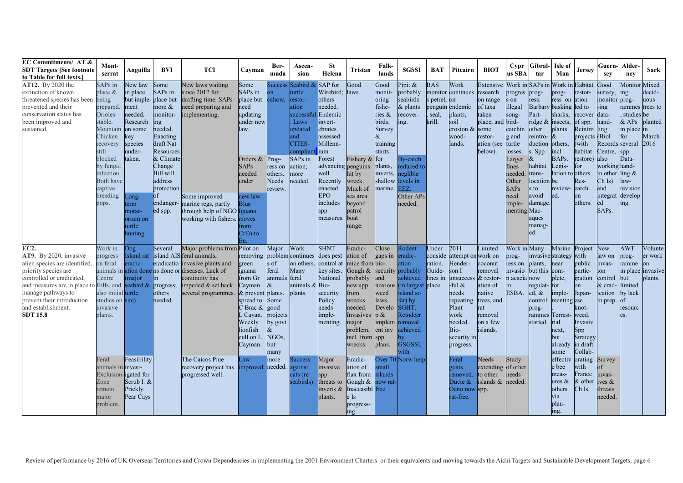| <b>EC Commitments/ AT &amp;</b><br><b>SDT Targets [See footnote</b><br>to Table for full texts.]                                                                                                                                                             | Mont-<br>serrat                                                                                                       | Anguilla                                                                                                       | BVI                                                                                                           | <b>TCI</b>                                                                                                                                                                                                                  | Cayman                                                                                                                                                         | Ber-<br>muda                                                                                                                              | Ascen-<br>sion                                                                                                    | <b>St</b><br>Helena                                                                                                                | Tristan                                                                                                                                       | Falk-<br>lands                                                                                  | <b>SGSSI</b>                                                                                                                                                                     | <b>BAT</b>                                            | Pitcairn                                                                                                                                                                                    | <b>BIOT</b>                                                                                              | Cypr<br>us SBA                                                                                 | Gibral-<br>tar                                                                                                                   | Isle of<br>Man                                                                                         | <b>Jersey</b>                                                                                                        | Guern-<br>sev                                                                                    | Alder-<br>nev                                                                               | Sark                                                         |
|--------------------------------------------------------------------------------------------------------------------------------------------------------------------------------------------------------------------------------------------------------------|-----------------------------------------------------------------------------------------------------------------------|----------------------------------------------------------------------------------------------------------------|---------------------------------------------------------------------------------------------------------------|-----------------------------------------------------------------------------------------------------------------------------------------------------------------------------------------------------------------------------|----------------------------------------------------------------------------------------------------------------------------------------------------------------|-------------------------------------------------------------------------------------------------------------------------------------------|-------------------------------------------------------------------------------------------------------------------|------------------------------------------------------------------------------------------------------------------------------------|-----------------------------------------------------------------------------------------------------------------------------------------------|-------------------------------------------------------------------------------------------------|----------------------------------------------------------------------------------------------------------------------------------------------------------------------------------|-------------------------------------------------------|---------------------------------------------------------------------------------------------------------------------------------------------------------------------------------------------|----------------------------------------------------------------------------------------------------------|------------------------------------------------------------------------------------------------|----------------------------------------------------------------------------------------------------------------------------------|--------------------------------------------------------------------------------------------------------|----------------------------------------------------------------------------------------------------------------------|--------------------------------------------------------------------------------------------------|---------------------------------------------------------------------------------------------|--------------------------------------------------------------|
| AT12. By 2020 the<br>extinction of known<br>threatened species has been being<br>prevented and their<br>conservation status has<br>been improved and<br>sustained.                                                                                           | SAPs in<br>place $&$<br>prepared<br>Orioles<br>stable.<br>Mountain on some<br>Chicken<br>recovery<br>still<br>blocked | Vew law<br>in place<br>but imple-place but<br>ment<br>needed.<br>Research<br>key<br>species<br>-nder<br>taken. | Some<br>SAPs in<br>more $\&$<br>monitor-<br>ing<br>needed.<br>Enacting<br>draft Nat<br>Resources<br>& Climate | New laws waiting<br>since 2012 for<br>drafting time. SAPs<br>need preparing and<br>implementing.                                                                                                                            | Some<br>SAPs in<br>place but<br>need<br>updating<br>under new<br>law.<br>Orders &                                                                              | Success<br>on<br>cahow,<br>Prog-                                                                                                          | Seabird &<br>turtle<br>restor-<br>ation<br>successful<br>Laws<br>updated<br>and<br>CITES-<br>compliant<br>SAPs in | SAP for<br>Wirebird:<br>others<br>needed.<br>Endemic<br>invert-<br>ebrates<br>assessed<br>Millenn-<br>ium<br>Forest                | Good<br>laws.<br>Fishery & for                                                                                                                | Good<br>monit-<br>oring<br>fishe-<br>ries &<br>birds.<br>Survey<br>$\&$<br>training<br>starts   | Pipit $\&$<br>probably<br>seabirds<br>$&$ plants<br>recover-<br>ing.<br>By-catch                                                                                                 | <b>BAS</b><br>monitor<br>s petrel,<br>seal,<br>krill. | Work<br>continues research<br>lon<br>penguin endemic<br>plants,<br>soil<br>erosion & some<br>wood-<br>lands.                                                                                | Extensive<br>on range<br>of taxa<br>taken<br>place, and bird-<br>restor-<br>ation (see turtle<br>below). | Work in SAPs in<br>progres<br>s on<br>illegal<br>song-<br>catchin<br>g and<br>losses<br>Larger | prog-<br>ress.<br>Barbary basking led to<br>Part-<br>ridge &<br>other<br>reintro- $\&$<br>duction<br>. Spp                       | Work in Habitat<br>prog-<br>ress on ation<br>sharks,<br>insects.<br>plants<br>others.<br>incl<br>BAPs. | restor-<br>recover data-<br>of spp.<br>Reintro ling<br>projects (Biol<br>(with<br>habitat<br>restore)                | Good<br>survey,<br>monitor prog-<br>$-$ ing<br>hand-<br>Records several<br>Centre,<br>also       | Monitor Mixed<br>ing<br>rammes<br>studies<br>$&$ APs<br>in place in<br>for<br>spp.<br>Data- | decid-<br>uous<br>trees to<br>be<br>planted<br>March<br>2016 |
|                                                                                                                                                                                                                                                              | by fungal<br>infection.<br><b>Both have</b><br>captive<br>breeding<br>pops.                                           | ong-<br>erm<br>norat-<br>orium on<br>turtle<br>hunting.                                                        | Change<br><b>Bill</b> will<br>address<br>protection<br>$\circ$ f<br>endanger-<br>ed spp.                      | Some improved<br>marine regs, partly<br>through help of NGO Iguana<br>working with fishers.                                                                                                                                 | <b>SAPs</b><br>needed<br>under<br>new law.<br><b>Blue</b><br>moves<br>from<br>CrEn to<br>En.                                                                   | ress on<br>others.<br>Needs<br>review.                                                                                                    | action;<br>more<br>needed.                                                                                        | advancing penguins<br>well.<br>Recently<br>enacted<br><b>EPO</b><br>includes<br>spp<br>measures.                                   | hit by<br>wreck.<br>Much of<br>sea area<br>beyond<br>patrol<br>boat<br>range.                                                                 | plants,<br>inverts,<br>shallow<br>marine.                                                       | reduced to<br>neglible<br>levels in<br>EEZ.<br>Other APs<br>needed                                                                                                               |                                                       |                                                                                                                                                                                             |                                                                                                          | fines<br>needed<br>Other<br><b>SAPs</b><br>need<br>imple-<br>menting Mac-                      | habitat<br>trans-<br>location be<br>s to<br>avoid<br>damage.<br>aques<br>manag-<br>ed                                            | Legis-<br>lation to others<br>review-<br>ed.                                                           | for<br>Res-<br>earch<br>on<br>others.                                                                                | working hand-<br>in other<br>$\overline{Ch}$ Is)<br>and<br>integrat<br>led<br>SAP <sub>s</sub> . | ling $\&$<br>law-<br>revision<br>develop<br>ing.                                            |                                                              |
| EC2.<br>AT9. By 2020, invasive<br>alien species are identified,<br>priority species are<br>controlled or eradicated.<br>and measures are in place to Hills, and<br>manage pathways to<br>prevent their introduction<br>and establishment.<br><b>SDT 15.8</b> | Work in<br>progress<br>on feral<br>Centre<br>also initial turtle<br>studies on site).<br>invasive<br>plants.          | Dog<br>eradic-<br>major<br>seabird $\&$ progress;                                                              | Several<br>in I<br>others<br>needed.                                                                          | Major problems from Pilot on<br>Island rat island AIS feral animals,<br>eradicatio invasive plants and<br>animals in ation done ns done or diseases. Lack of<br>continuity has<br>impeded & set back<br>several programmes. | removing<br>green<br>iguana<br>from Gr<br>Cayman<br>& prevent plants.<br>spread to<br>$\sum$ Brac $\&$<br>Cayan.<br>Weekly<br>lionfish<br>cull on L<br>Cayman. | Major<br>s of<br>feral<br>animals feral<br>$\alpha$<br>Some<br>good<br>projects<br>by govt<br>$\alpha$<br>NGO <sub>s</sub><br>but<br>many | Work<br>problem continues does pest<br>Many<br>animals & Bio-<br>plants.                                          | <b>SHNT</b><br>on others. control at mice from bio-<br>key sites.<br>National<br>security<br>Policy<br>needs<br>imple-<br>menting. | Eradic-<br>ation of<br>Gough &<br>probably<br>new spp<br>from<br>wrecks<br>needed.<br>Invasives<br>major<br>problem,<br>incl. from<br>wrecks. | Close<br>gaps in<br>and<br>weed<br>laws.<br>Develo<br>p &<br>implem<br>ent inv<br>spp<br>plans. | Rodent<br>eradic-<br>ation<br>security probably<br>achieved<br>noxious (in largest place.<br>island so<br>far) by<br>SGHT.<br>Reindeer<br>removal<br>achieved<br>GSGSSI.<br>with | Under<br>ration.<br>Guide-<br>lines in                | 2011<br>conside attempt on work on<br>Hender-<br>son I<br>unsuccess & restor-<br>-ful $&$<br>needs<br>repeating. trees, and<br>Plant<br>work<br>needed.<br>Bio-<br>security in<br>progress. | Limited<br>coconut<br>removal<br>ation of<br>native<br>rat<br>removal<br>on a few<br>islands.            | Work in Many<br>prog-<br>ress on<br>invasio<br>n acacia now<br>$\ln$<br>ESBA.                  | invasive strategy with<br>plants.<br>but this com-<br>regulat-for<br>$ed, \&$<br>control<br>prog-<br>rammes Terrest-<br>started. | Marine Project<br>near<br>plete,<br>imple-<br>menting ese<br>rial<br>next.<br>but<br>already<br>some   | public<br>partic-<br>ipation<br>on<br>Japan-<br>knot-<br>weed.<br>Invasiv<br>Spp<br>Strategy<br>in draft.<br>Collab- | New<br>law on<br>invas-<br>ion<br>control<br>& erad-limited<br>ication<br>in prep.               | <b>AWT</b><br>prog-<br>ramme<br>in place<br><b>but</b><br>by lack<br>of<br>resourc<br>es.   | Volunte<br>er work<br>on<br>invasive<br>plants.              |
|                                                                                                                                                                                                                                                              | Feral<br>animals in <i>invest</i> -<br>Exclusion igated for<br>Zone<br>remain<br>major<br>problem.                    | easibility<br>Scrub I. &<br>Prickly<br>Pear Cays                                                               |                                                                                                               | The Caicos Pine<br>recovery project has<br>progressed well.                                                                                                                                                                 | Law<br>improved needed.                                                                                                                                        | more                                                                                                                                      | <b>Success</b><br>against<br>cats (re<br>seabirds)                                                                | Major<br>invasive<br>spp<br>threats to<br>inverts $\&$<br>plants.                                                                  | Eradic-<br>ation of<br>flax from<br>Gough &<br>Inaccasibl free.<br>e Is<br>progress-<br>ing.                                                  | Over $70$<br>small<br>slands<br>ow rat-                                                         | Norw help                                                                                                                                                                        |                                                       | Feral<br>goats<br>removed.<br>Ducie &<br>Oeno now spp.<br>rat-free.                                                                                                                         | Needs<br>extending of other<br>to other<br>islands $\&$                                                  | Study<br>needs<br>needed.                                                                      |                                                                                                                                  | effectiv<br>e bee<br>meas-<br>ures $\&$<br>others<br>via<br>plan-<br>ing.                              | orating<br>with<br>France<br>& other<br>Ch Is.                                                                       | Survey<br>of<br>invas-<br>ives $\&$<br>threats<br>needed.                                        |                                                                                             |                                                              |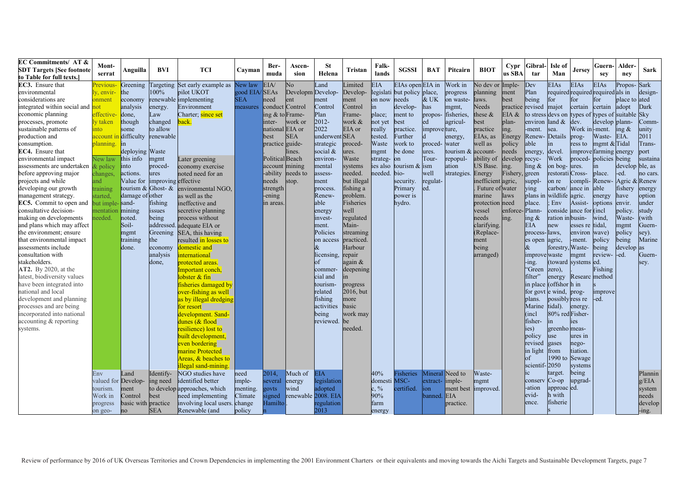| <b>EC Commitments/ AT &amp;</b>     | Mont-               |                     |                               |                                |               | Ber-              | Ascen-            | <b>St</b>           |                       | Falk-            |                            |                 |                       |                    | Cypr           | Gibral                 | Isle of                    |                 | Guern-                                           | Alder-          |          |
|-------------------------------------|---------------------|---------------------|-------------------------------|--------------------------------|---------------|-------------------|-------------------|---------------------|-----------------------|------------------|----------------------------|-----------------|-----------------------|--------------------|----------------|------------------------|----------------------------|-----------------|--------------------------------------------------|-----------------|----------|
| <b>SDT Targets [See footnote</b>    | serrat              | Anguilla            | BVI                           | <b>TCI</b>                     | Cayman        | muda              | sion              | Helena              | Tristan               | lands            | <b>SGSSI</b>               | <b>BAT</b>      | Pitcairn              | <b>BIOT</b>        | us SBA         | tar                    | Man                        | <b>Jersey</b>   | sev                                              | nev             | Sark     |
| to Table for full texts.]           |                     |                     |                               |                                |               |                   |                   |                     |                       |                  |                            |                 |                       |                    |                |                        |                            |                 |                                                  |                 |          |
| EC3. Ensure that                    | Previous            | Greening            |                               | Targeting Set early example as | New law       | EIA/              | No                | Land                | Limited               | EIA.             | EIAs open EIA in           |                 | Work in               | No dev or          | Imple-         | Dev                    | <b>EIAs</b>                | <b>EIAs</b>     | <b>EIAs</b>                                      | Propos-         | Sark     |
| environmental                       | y, envir-           | the                 | $100\%$                       | pilot UKOT                     | good EIA/SEAs |                   | Developm Develop- |                     | Develop-              |                  | egislati but policy place, |                 | progress              | blanning           | ment           | Plan                   |                            |                 | required required required als in                |                 | design-  |
| considerations are                  | onment              | economy             |                               | renewable implementing         | <b>SEA</b>    | need              | ent               | ment                | ment                  | on now           | needs                      | & UK            | on waste-             | laws.              | best           | being                  | for                        | for             | for                                              | place to ated   |          |
| integrated within social and        | not                 | analysis            | energy.                       | Environment                    | measures      | conduct Control   |                   | Control             | Control               | in               | develop-                   | has             | mgmt,                 | Veeds              | practice       | revised                | majot                      | certain         | certain                                          | adopt           | Dark     |
| economic planning                   | effective           | done,               | Law                           | Charter; since set             |               | ing $&$ to Frame- |                   | Plan                | Frame-                | place;           | ment to                    | propos-         | fisheries,            | these $\&$         | EIA &          |                        |                            |                 | to stress devs on types of types of suitable Sky |                 |          |
| processes, promote                  | ly taken            | though              | changed                       | back.                          |               | inter-            | work or           | 2012-               | work &                | ot yet           | best                       | ed              | agricul-              | <b>pest</b>        | plan-          | environ                | land $\&$                  | dev.            | develop plann-                                   |                 | Comm-    |
| sustainable patterns of             | nto                 | some                | to allow                      |                                |               | national EIA or   |                   | 2022                | EIA or                | really           | practice.                  | improve ture,   |                       | practice           | ing.           | -ment.                 | sea.                       | Work in -ment.  |                                                  | ing $\&$        | unity    |
| production and                      | account             | difficulty          | renewable                     |                                |               | best              | <b>SEA</b>        | underwent SEA       |                       | ested.           | Further                    |                 | energy,               | EIAs, as           | Energy         | Renew-                 | Details                    | prog-           | Waste-                                           | EIA.            | 2011     |
| consumption.                        | planning.           | in                  |                               |                                |               | practice guide-   |                   | strategic           | proced-               | Waste            | work to                    | proced-         | water                 | well as            | policy         | able                   | $\mathop{\mathrm{in}}$     | ress to         | mgmt $&$ Tidal                                   |                 | Trans-   |
| EC4. Ensure that                    |                     | deploying Waste     |                               |                                |               |                   | lines.            | social &            | ures.                 | mgmt             | be done                    | res.            | tourism $\&$ account- |                    | needs          | energy,                | devel.                     |                 | improve farming energy                           |                 | port     |
| environmental impact                | New law             | this info           | mgmt                          | Later greening                 |               | Political Beach   |                   | environ-            | Waste                 | trateg-on        |                            | Tour-           | repopul-              | ability of         | develop recyc- |                        | Work                       |                 | proced- policies being                           |                 | sustaina |
| assessments are undertaken & policy |                     | into                | proced-                       | economy exercise               |               | account mining    |                   | mental              | systems               | es also          | tourism $&$ ism            |                 | ation                 | US Base.           | ing.           | $\ln g \&$             | on bog-ures.               |                 | in                                               | develop ble, as |          |
| before approving major              | changes             | actions.            | ures                          | noted need for an              |               | -ability          | needs to          | assess-             | needed.               | eeded.           | bio-                       | well            | strategies. Energy    |                    | Fishery,       | green                  | restorati Cross-           |                 | place.                                           | -ed.            | no cars. |
| projects and while                  | and                 |                     | Value for improving effective |                                |               | needs             | stop.             | ment                | but illegal           |                  | security.                  | regulat-        |                       | inefficient agric, |                | suppl-                 | on re                      | compli-Renew-   |                                                  | Agric &         | Renew    |
| developing our growth               | training            | tourism &           | Ghost- &                      | environmental NGO.             |               | strength          |                   | process.            | fishing a             |                  | Primary                    | ed.             |                       | Future of water    |                | ying                   | carbon/                    | ance in         | able                                             | fishery         | energy   |
| management strategy.                | started.            | damage of other     |                               | as well as the                 |               | ening             |                   | Renew-              | problem.              |                  | power is                   |                 |                       | marine             | laws           | plans in               | wildlife agric.            |                 | energy                                           | have            | option   |
| <b>EC5.</b> Commit to open and      | but imple-sand-     |                     | fishing                       | ineffective and                |               | in areas          |                   | able                | Fisheries             |                  | hydro.                     |                 |                       | protection need    |                | place.                 | Env                        | Assist-         | options                                          | envir.          | under    |
| consultative decision-              | mentation           | mining              | issues                        | secretive planning             |               |                   |                   | energy              | well                  |                  |                            |                 |                       | vessel             | enforce-Plann- |                        | conside ance for (incl.    |                 |                                                  | policy.         | study    |
| making on developments              | needed.             | noted.              | being                         | process without                |               |                   |                   | invest-             | regulated             |                  |                            |                 |                       | needs              | ing.           | ing &                  | ration in busin-           |                 | wind.                                            | Waste-          | (with    |
| and plans which may affect          |                     | Soil-               |                               | addressed. adequate EIA or     |               |                   |                   | ment.               | Main-                 |                  |                            |                 |                       | clarifying.        |                | <b>EIA</b>             | new                        | esses re tidal. |                                                  | mgmt            | Guern-   |
| the environment; ensure             |                     | mgmt                |                               | Greening SEA, this having      |               |                   |                   | Policies            | streaming             |                  |                            |                 |                       | (Replace-          |                | process-laws,          |                            | environ wave)   |                                                  | policy          | sey).    |
| that environmental impact           |                     | training            | the                           | resulted in losses to          |               |                   |                   | on access           | practiced             |                  |                            |                 |                       | ment               |                | es open                | agric,                     | -ment.          | policy                                           | being           | Marine   |
| assessments include                 |                     | done.               | economy                       | domestic and                   |               |                   |                   | &                   | Harbour               |                  |                            |                 |                       | being              |                | &                      | forestry,                  | Waste-          | being                                            | develop as      |          |
| consultation with                   |                     |                     | analysis                      | nternational                   |               |                   |                   | licensing.          | repair                |                  |                            |                 |                       | arranged)          |                | improve waste          |                            | mgmt            | review-                                          | -ed.            | Guern-   |
| stakeholders.                       |                     |                     | done,                         | protected areas.               |               |                   |                   |                     | again $\&$            |                  |                            |                 |                       |                    |                | $-$ ing.               | (toward systems ed.        |                 |                                                  |                 |          |
| <b>AT2.</b> By 2020, at the         |                     |                     |                               |                                |               |                   |                   |                     | deepening             |                  |                            |                 |                       |                    |                | "Green                 | zero).                     |                 | Fishing                                          |                 | sey.     |
| latest, biodiversity values         |                     |                     |                               | Important conch,               |               |                   |                   | commer-<br>cial and |                       |                  |                            |                 |                       |                    |                | filter"                | energy                     | Researc method  |                                                  |                 |          |
| have been integrated into           |                     |                     |                               | obster $&$ fin                 |               |                   |                   |                     |                       |                  |                            |                 |                       |                    |                | in place (offshor h in |                            |                 |                                                  |                 |          |
| national and local                  |                     |                     |                               | fisheries damaged by           |               |                   |                   | tourism-            | progress              |                  |                            |                 |                       |                    |                |                        |                            |                 |                                                  |                 |          |
| development and planning            |                     |                     |                               | over-fishing as well           |               |                   |                   | related             | 2016, but             |                  |                            |                 |                       |                    |                |                        | for govt e wind, prog-     |                 | improve                                          |                 |          |
|                                     |                     |                     |                               | as by illegal dredging         |               |                   |                   | fishing             | more                  |                  |                            |                 |                       |                    |                | plans.                 | possibly ress re           |                 | -ed.                                             |                 |          |
| processes and are being             |                     |                     |                               | or resort                      |               |                   |                   | activities          | basic                 |                  |                            |                 |                       |                    |                | Marine                 | tidal).<br>80% red Fisher- | energy.         |                                                  |                 |          |
| incorporated into national          |                     |                     |                               | development. Sand-             |               |                   |                   | being               | work may<br><b>be</b> |                  |                            |                 |                       |                    |                | (incl                  |                            |                 |                                                  |                 |          |
| accounting & reporting              |                     |                     |                               | dunes (& flood                 |               |                   |                   | reviewed.           |                       |                  |                            |                 |                       |                    |                | fisher-                | $\mathop{\mathrm{in}}$     | es              |                                                  |                 |          |
| systems.                            |                     |                     |                               | esilience) lost to             |               |                   |                   |                     | needed.               |                  |                            |                 |                       |                    |                | ies)                   | greenho meas-              |                 |                                                  |                 |          |
|                                     |                     |                     |                               | built development,             |               |                   |                   |                     |                       |                  |                            |                 |                       |                    |                | policy                 | luse                       | ures in         |                                                  |                 |          |
|                                     |                     |                     |                               | even bordering                 |               |                   |                   |                     |                       |                  |                            |                 |                       |                    |                | revised                | gases                      | nego-           |                                                  |                 |          |
|                                     |                     |                     |                               | marine Protected               |               |                   |                   |                     |                       |                  |                            |                 |                       |                    |                | in light               | from                       | tiation.        |                                                  |                 |          |
|                                     |                     |                     |                               | Areas, & beaches to            |               |                   |                   |                     |                       |                  |                            |                 |                       |                    |                | of                     | 1990 to                    | Sewage          |                                                  |                 |          |
|                                     |                     |                     |                               | illegal sand-mining.           |               |                   |                   |                     |                       |                  |                            |                 |                       |                    |                | scientif-2050          |                            | systems         |                                                  |                 |          |
|                                     | Env                 | Land                | Identify-                     | NGO studies have               | need          | 2014.             | Much of           | <b>EIA</b>          |                       | 40%              | <b>Eisheries</b>           |                 | Mineral Need to       | Waste-             |                | ic                     | target.                    | being           |                                                  |                 | Plannin  |
|                                     | valued for Develop- |                     | ing need                      | identified better              | imple-        | several           | energy            | legislation         |                       | domesti MSC-     |                            | extract-limple- |                       | mgmt               |                | conserv                | $Co$ -op                   | upgrad-         |                                                  |                 | g/ELA    |
|                                     | tourism.            | ment                |                               | to develop approaches, which   | menting.      | govts             | wind              | adopted             |                       | $c, \frac{9}{6}$ | certified.                 | on              | ment best             | improved.          |                | -ation                 | approac ed.                |                 |                                                  |                 | system   |
|                                     | Work in             | Control             | best                          | need implementing              | Climate       | signed            |                   | renewable 2008. EIA |                       | 90%              |                            | oanned.         | <b>EIA</b>            |                    |                | evid-                  | h with                     |                 |                                                  |                 | needs    |
|                                     | progress            | basic with practice |                               | involving local users.         | change        | Hamilto           |                   | egulation           |                       | farm             |                            |                 | practice.             |                    |                | ence.                  | fisherie                   |                 |                                                  |                 | develop  |
|                                     | on geo-             | no                  | <b>SEA</b>                    | Renewable (and                 | policy        |                   |                   | 2013                |                       | energy           |                            |                 |                       |                    |                |                        |                            |                 |                                                  |                 | -ing.    |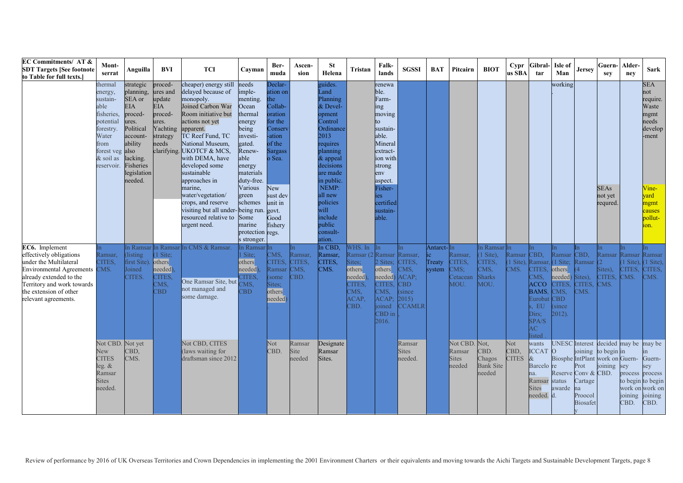| <b>EC Commitments/ AT &amp;</b><br><b>SDT Targets [See footnote</b><br>to Table for full texts.]                                                                                                                | Mont-<br>serrat                                                                                                                               | Anguilla                                                                                                                                                  | BVI                                                                                                             | <b>TCI</b>                                                                                                                                                                                                                                                                                                                                                                             | Cavman                                                                                                                                                                                 | Ber-<br>muda                                                                                                                                                          | Ascen-<br>sion                    | <b>St</b><br>Helena                                                                                                                                                                                             | Tristan                                                                                       | Falk-<br>lands                                                                                                                                                                         | <b>SGSSI</b>                                                                 | <b>BAT</b>                     | Pitcairn                                          | <b>BIOT</b>                                                            | Cypr<br>us SBA                         | Gibral<br>tar                                                                                                            | Isle of<br>Man                                                                                         | Jersey                                                                       | Guern-<br>sey                                                                       | Alder-<br>nev                     | <b>Sark</b>                                                                                                               |
|-----------------------------------------------------------------------------------------------------------------------------------------------------------------------------------------------------------------|-----------------------------------------------------------------------------------------------------------------------------------------------|-----------------------------------------------------------------------------------------------------------------------------------------------------------|-----------------------------------------------------------------------------------------------------------------|----------------------------------------------------------------------------------------------------------------------------------------------------------------------------------------------------------------------------------------------------------------------------------------------------------------------------------------------------------------------------------------|----------------------------------------------------------------------------------------------------------------------------------------------------------------------------------------|-----------------------------------------------------------------------------------------------------------------------------------------------------------------------|-----------------------------------|-----------------------------------------------------------------------------------------------------------------------------------------------------------------------------------------------------------------|-----------------------------------------------------------------------------------------------|----------------------------------------------------------------------------------------------------------------------------------------------------------------------------------------|------------------------------------------------------------------------------|--------------------------------|---------------------------------------------------|------------------------------------------------------------------------|----------------------------------------|--------------------------------------------------------------------------------------------------------------------------|--------------------------------------------------------------------------------------------------------|------------------------------------------------------------------------------|-------------------------------------------------------------------------------------|-----------------------------------|---------------------------------------------------------------------------------------------------------------------------|
|                                                                                                                                                                                                                 | thermal<br>energy,<br>sustain-<br>able<br>fisheries,<br>potential<br>forestry.<br>Water<br>from<br>forest veg also<br>& soil as<br>reservoir. | strategic<br>planning,<br>SEA or<br><b>EIA</b><br>proced-<br>ures.<br>Political<br>account-<br>ability<br>lacking.<br>Fisheries<br>legislation<br>needed. | proced-<br>ures and<br>update<br><b>EIA</b><br>proced-<br>ures.<br>Yachting<br>strategy<br>needs<br>clarifying. | cheaper) energy still<br>delayed because of<br>monopoly.<br>Joined Carbon War<br>Room initiative but<br>actions not yet<br>apparent.<br>TC Reef Fund, TC<br>National Museum,<br>UKOTCF & MCS.<br>with DEMA, have<br>developed some<br>sustainable<br>approaches in<br>marine,<br>water/vegetation/<br>crops, and reserve<br>visiting but all under-being run.<br>resourced relative to | needs<br>imple-<br>menting.<br>Ocean<br>thermal<br>energy<br>being<br>investi-<br>gated.<br>Renew-<br>able<br>energy<br>materials<br>duty-free.<br>Various<br>green<br>schemes<br>Some | Declar-<br>ation on<br>the<br>Collab-<br>oration<br>for the<br>Conserv<br>-ation<br>of the<br><b>Sargass</b><br>o Sea.<br>New<br>sust dev<br>unit in<br>govt.<br>Good |                                   | guides.<br>Land<br>Planning<br>& Devel-<br>opment<br>Control<br>Ordinance<br>2013<br>requires<br>planning<br>& appeal<br>decisions<br>are made<br>in public.<br>NEMP:<br>all new<br>policies<br>will<br>include |                                                                                               | renewa<br>ble.<br>Farm-<br>ing<br>moving<br>to<br>sustain-<br>able.<br>Mineral<br>extract-<br>ion with<br>strong<br>env<br>aspect.<br>Fisher-<br>ies<br>certified<br>sustain-<br>able. |                                                                              |                                |                                                   |                                                                        |                                        |                                                                                                                          | working                                                                                                |                                                                              | <b>SEAs</b><br>not yet<br>requred.                                                  |                                   | <b>SEA</b><br>not<br>require.<br>Waste<br>mgmt<br>needs<br>develop<br>-ment<br>Vine-<br>vard<br>mgmt<br>causes<br>pollut- |
|                                                                                                                                                                                                                 |                                                                                                                                               |                                                                                                                                                           |                                                                                                                 | urgent need.                                                                                                                                                                                                                                                                                                                                                                           | marine<br>protection regs.<br>s stronger.                                                                                                                                              | fishery                                                                                                                                                               |                                   | public<br>consult-<br>ation.                                                                                                                                                                                    |                                                                                               |                                                                                                                                                                                        |                                                                              |                                |                                                   |                                                                        |                                        |                                                                                                                          |                                                                                                        |                                                                              |                                                                                     |                                   | ion.                                                                                                                      |
| EC6. Implement<br>effectively obligations<br>under the Multilateral<br>Environmental Agreements CMS.<br>already extended to the<br>Territory and work towards<br>the extension of other<br>relevant agreements. | Ramsar.<br>CITES.                                                                                                                             | In Ramsar In Ramsa<br>listing<br>first Site)<br>Joined<br>CITES.                                                                                          | (1 Site;<br>others<br>needed<br>CITES.<br>CMS,<br>CBD                                                           | In CMS & Ramsar.<br>One Ramsar Site, but<br>not managed and<br>some damage.                                                                                                                                                                                                                                                                                                            | n Ramsar In<br>Site;<br>others<br>needed)<br><b>CITES.</b><br>MS,<br><b>BD</b>                                                                                                         | CMS,<br>CITES.<br>Ramsar<br>some<br>Sites:<br>others<br>needed)                                                                                                       | Ramsar,<br>CITES.<br>CMS,<br>EBD. | In CBD,<br>Ramsar,<br>CITES,<br>CMS.                                                                                                                                                                            | WHS. In<br>Ramsar (2 Ramsar<br>Sites;<br>others<br>needed)<br>CITES.<br>CMS,<br>ACAP.<br>CBD. | 2 Sites:<br>others<br>needed)<br>CITES.<br>CMS,<br><b>ACAP</b><br>oined<br>$CBD$ in<br>2016.                                                                                           | Ramsar.<br>CITES.<br>CMS,<br>ACAP:<br>CBD<br>since<br>2015)<br><b>CCAMLR</b> | Antarct-In<br>Treaty<br>system | Ramsar,<br>CITES.<br>CMS:<br>Cetacean<br>MOU.     | In Ramsar In<br>1 Site),<br>CITES.<br>$CMS$ ,<br><b>Sharks</b><br>MOU. | Ramsar<br>$(1 \text{ Site})$ .<br>CMS. | ln.<br>CBD,<br>Ramsar,<br>CITES.<br>CMS,<br><b>ACCO</b><br><b>BAMS</b><br>Euroba<br>EU<br>Dirs;<br>SPA/S<br>AC<br>listed | Ramsar<br>$(1 \text{ Site};$<br>others<br>needed)<br><b>CITES</b><br>CMS.<br>CBD<br>since<br>$2012$ ). | In.<br>CBD,<br>Ramsar (2<br>Sites).<br><b>CITES</b><br>TMS.                  | ln.<br>Ramsar Ramsar<br>Sites),<br>CITES.<br>CMS.                                   | n.<br>1 Site).<br>CITES.<br>CMS.  | n<br>Ramsar<br>$(1 \text{ Site})$ ,<br>CITES,<br>CMS.                                                                     |
|                                                                                                                                                                                                                 | Not CBD.<br>New<br><b>CITES</b><br>leg. &<br>Ramsar<br><b>Sites</b><br>needed.                                                                | Not yet<br>CBD,<br>CMS.                                                                                                                                   |                                                                                                                 | Not CBD, CITES<br>(laws waiting for<br>draftsman since 2012                                                                                                                                                                                                                                                                                                                            |                                                                                                                                                                                        | Not<br>CBD.                                                                                                                                                           | Ramsar<br>Site<br>needed          | Designate<br>Ramsar<br>Sites.                                                                                                                                                                                   |                                                                                               |                                                                                                                                                                                        | Ramsar<br><b>Sites</b><br>needed.                                            |                                | Not CBD. Not.<br>Ramsar<br><b>Sites</b><br>needed | CBD.<br>Chagos<br><b>Bank Site</b><br>needed                           | Not<br>CBD,<br><b>CITES</b>            | wants<br><b>ICCAT</b><br>Barcelo re<br>na.<br>Ramsar status<br><b>Sites</b><br>needed.                                   | $\Omega$<br>Reserve Conv & CBD.<br>awarde                                                              | <b>UNESC</b> Interest<br>Prot<br>Cartage<br>na<br>Proocol<br><b>Biosafet</b> | decided may be<br>joining to begin in<br>Biosphe IntPlant work on Guern-<br>joining | sey<br>process<br>joining<br>CBD. | may be<br>in.<br>Guern-<br>sev<br>process<br>to begin to begin<br>work on work on<br>joining<br>CBD.                      |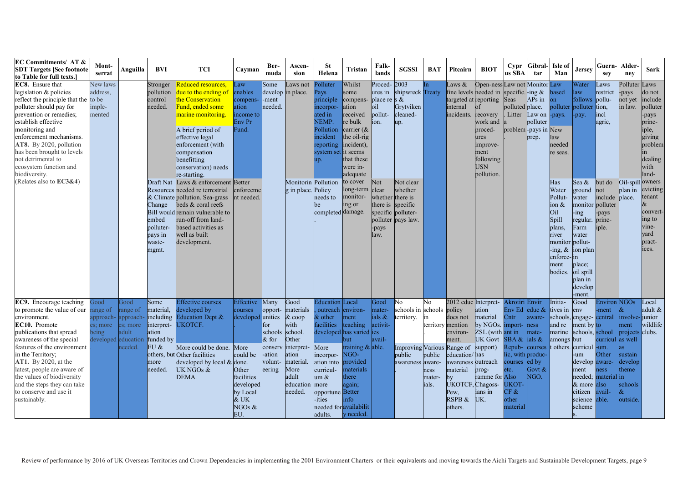| <b>EC Commitments/ AT &amp;</b><br><b>SDT Targets [See footnote</b><br>to Table for full texts.]                                                                                                                                                                                                                                                                         | Mont-<br>serrat                                              | Anguilla                                         | BVI                                                                                                               | <b>TCI</b>                                                                                                                                                                                                                                      | Cavman                                                                                                                            | Ber-<br>muda                                                                                      | Ascen-<br>sion                                                                                                                        | <b>St</b><br>Helena                                                                                                                                                                        | Tristan                                                                                                                                                               | Falk-<br>lands                                                                               | <b>SGSSI</b>                                                                                            | <b>BAT</b>                                                   | Pitcairn                                                                                                                                                                    | <b>BIOT</b>                                                                                                                       | Cypr<br>us SBA                                                                                                                                                           | Gibral<br>tar                                                               | Isle of<br>Man                                                                                                                    | Jersey                                                                                                                                                | Guern-<br>sey                                                                                 | Alder-<br>nev                                                                                                            | <b>Sark</b>                                                                                                             |
|--------------------------------------------------------------------------------------------------------------------------------------------------------------------------------------------------------------------------------------------------------------------------------------------------------------------------------------------------------------------------|--------------------------------------------------------------|--------------------------------------------------|-------------------------------------------------------------------------------------------------------------------|-------------------------------------------------------------------------------------------------------------------------------------------------------------------------------------------------------------------------------------------------|-----------------------------------------------------------------------------------------------------------------------------------|---------------------------------------------------------------------------------------------------|---------------------------------------------------------------------------------------------------------------------------------------|--------------------------------------------------------------------------------------------------------------------------------------------------------------------------------------------|-----------------------------------------------------------------------------------------------------------------------------------------------------------------------|----------------------------------------------------------------------------------------------|---------------------------------------------------------------------------------------------------------|--------------------------------------------------------------|-----------------------------------------------------------------------------------------------------------------------------------------------------------------------------|-----------------------------------------------------------------------------------------------------------------------------------|--------------------------------------------------------------------------------------------------------------------------------------------------------------------------|-----------------------------------------------------------------------------|-----------------------------------------------------------------------------------------------------------------------------------|-------------------------------------------------------------------------------------------------------------------------------------------------------|-----------------------------------------------------------------------------------------------|--------------------------------------------------------------------------------------------------------------------------|-------------------------------------------------------------------------------------------------------------------------|
| <b>EC8.</b> Ensure that<br>legislation & policies<br>reflect the principle that the to be<br>polluter should pay for<br>prevention or remedies;<br>establish effective<br>monitoring and<br>enforcement mechanisms.<br>AT8. By 2020, pollution<br>has been brought to levels<br>not detrimental to<br>ecosystem function and<br>biodiversity.                            | New laws<br>address.<br>imple-<br>mented                     |                                                  | Stronger<br>pollution<br>control<br>needed.                                                                       | Reduced resources,<br>lue to the ending of<br>the Conservation<br>Fund, ended some<br>narine monitoring.<br>A brief period of<br>effective legal<br>enforcement (with<br>compensation<br>benefitting<br>conservation) needs<br>re-starting.     | Law<br>enables<br>compens-<br>ition<br>ncome to<br>Env Pr<br>Fund.                                                                | Some<br>develop<br>-ment<br>needed.                                                               | aws not<br>in place.                                                                                                                  | Polluter<br>Pays<br>principle<br>incorpor-<br>ated in<br>NEMP.<br>Pollution<br>incident<br>eporting<br>ystem set it seems<br>up.                                                           | Whilst<br>some<br>compens-<br>ation<br>received<br>re bulk<br>carrier $(x$<br>the oil-rig<br>incident),<br>that these<br>were in-<br>adequate                         | Proced-<br>ures in<br>place re s $\&$<br>oil<br>pollut-<br>on.                               | 2003<br>shipwreck Treaty<br>Grytviken<br>cleaned-<br>up.                                                | ln.                                                          | $2$ aws $\&$<br>fine levels needed in specific. -ing $\&$<br>targeted at reporting<br>internal<br>incidents.                                                                | Open-ness Law not Monitor<br>recovery<br>work and<br>proced-<br>ures<br>improve-<br>ment<br>following<br><b>USN</b><br>pollution. | Seas<br>polluted place.<br>Litter                                                                                                                                        | APs in<br>aw on<br>polluter<br>problem-pays in New<br>prep.                 | Law<br>based<br>on<br>polluter<br>-pays.<br>law<br>needed<br>re seas.                                                             | Water<br>aw<br>follows pollu-<br>polluter tion.<br>-pay.                                                                                              | aws<br>restrict<br>incl<br>agric,                                                             | Polluter<br>-pays<br>not yet<br>in law.                                                                                  | aws<br>do not<br>include<br>polluter<br>-pays<br>princ-<br>iple,<br>giving<br>problem<br>ın<br>dealing<br>with<br>land- |
| (Relates also to EC3&4)                                                                                                                                                                                                                                                                                                                                                  |                                                              |                                                  | Change<br>embed<br>polluter-<br>pays in<br>waste-<br>mgmt.                                                        | Draft Nat Laws & enforcement Better<br>Resources needed re terrestrial<br>& Climate pollution. Sea-grass<br>beds & coral reefs<br>Bill would remain vulnerable to<br>run-off from land-<br>based activities as<br>well as built<br>development. | enforceme<br>nt needed.                                                                                                           |                                                                                                   | <b>Monitorin</b> Pollution<br>g in place. Policy                                                                                      | needs to<br>be<br>completed damage.                                                                                                                                                        | to cover<br>long-term<br>monitor-<br>ing or                                                                                                                           | Not<br>clear<br>whether there is<br>there is specific<br>specific polluter-<br>-pays<br>law. | Not clear<br>whether<br>polluter pays law.                                                              |                                                              |                                                                                                                                                                             |                                                                                                                                   |                                                                                                                                                                          |                                                                             | Has<br>Water<br>Pollut-<br>ion &<br>Oil<br>Spill<br>plans.<br>river<br>monitor<br>$-$ ing, $\&$<br>enforce-lin<br>ment<br>bodies. | Sea &<br>ground<br>water<br>monitor<br>ing-<br>regular<br>Farm<br>water<br>pollut-<br>ion plan<br>place;<br>oil spill<br>plan in<br>develop<br>-ment. | but do<br>not<br>include<br>polluter<br>-pays<br>princ-<br>iple.                              | Oil-spill owners<br>plan in<br>place.                                                                                    | evicting<br>tenant<br>&<br>convert-<br>ing to<br>vine-<br>vard<br>pract-<br>ices.                                       |
| EC9. Encourage teaching<br>to promote the value of our<br>environment.<br>EC10. Promote<br>publications that spread<br>awareness of the special<br>features of the environment<br>in the Territory;<br><b>AT1.</b> By 2020, at the<br>latest, people are aware of<br>the values of biodiversity<br>and the steps they can take<br>to conserve and use it<br>sustainably. | boot<br>range of<br>es; more<br>being<br>developed education | bood<br>range of<br>es; more<br>idult<br>reeded. | Some<br>material,<br>upproach- approach- including<br>interpret-<br>ation<br>funded by<br>EU &<br>more<br>needed. | <b>Effective courses</b><br>developed by<br><b>Education Dept &amp;</b><br><b>UKOTCF.</b><br>More could be done.<br>others, but Other facilities<br>developed by local & done.<br>UK NGOs &<br>DEMA.                                            | Effective<br>courses<br>developed<br>More<br>could be<br>Other<br>facilities<br>developed<br>by Local<br>& UK<br>NGOs $\&$<br>EU. | Many<br>opport-<br>unities<br>for<br>schools<br>$&$ for<br>consery<br>-ation<br>volunt-<br>eering | Good<br>materials<br>$&$ coop<br>with<br>school<br>Other<br>interpret-<br>ation<br>material.<br>More<br>adult<br>education<br>needed. | <b>Education</b><br>outreach<br>& other<br>facilities<br>More<br>incorpor-<br>ation into<br>curricul-<br>um $\&$<br>more<br>opportune Better<br>ities<br>needed for availabilit<br>adults. | Local<br>environ-<br>ment<br>teaching<br>developed has varied ies<br>but<br>training & able.<br>NGO-<br>provided<br>materials<br>there<br>again;<br>info<br>y needed. | Good<br>mater-<br>ials &<br>activit-<br>avail-                                               | No<br>schools in schools policy<br>territory.<br><b>Improving Various</b><br>public<br>awareness aware- | No<br>territory mention<br>public<br>ness<br>mater-<br>ials. | 2012 educ Interpret-<br>does not<br>environ-<br>ment.<br>Range of<br>education/has<br>awareness outreach<br>material<br>bv<br>JKOTCF. Chagoss-<br>Pew.<br>RSPB &<br>others. | ation<br>material<br>by NGOs.<br>ZSL (with ant in<br><b>UK</b> Govt<br>support)<br>prog-<br>ramme for<br>ians in<br>UK.           | Akrotiri Envir<br>Env Ed<br>Cntr<br>import-<br>SBA $\&$ lials $\&$<br>Repub-<br>lic, with produc-<br>courses<br>etc.<br>Also<br><b>UKOT</b><br>CF &<br>other<br>material | educ $\&$<br>aware-<br>hess<br>mate-<br>courses<br>led by<br>Govt &<br>NGO. | Initia-<br>tives in<br>schools, engage-central<br>and re<br>marine<br>amongs<br>t others.                                         | Good<br>env<br>ment by to<br>schools, school<br>but<br>curricul<br>-um<br>develop aware-<br>ment<br>& more also<br>citizen<br>science able.<br>scheme | Environ<br>-ment<br>curricul<br>-um.<br>Other<br><b>ness</b><br>needed; material in<br>avail- | <b>NGOs</b><br>involve-junior<br>ment<br>projects<br>as well<br>as.<br>sustain<br>develop<br>heme<br>schools<br>outside. | ocal<br>adult &<br>wildlife<br>clubs.                                                                                   |